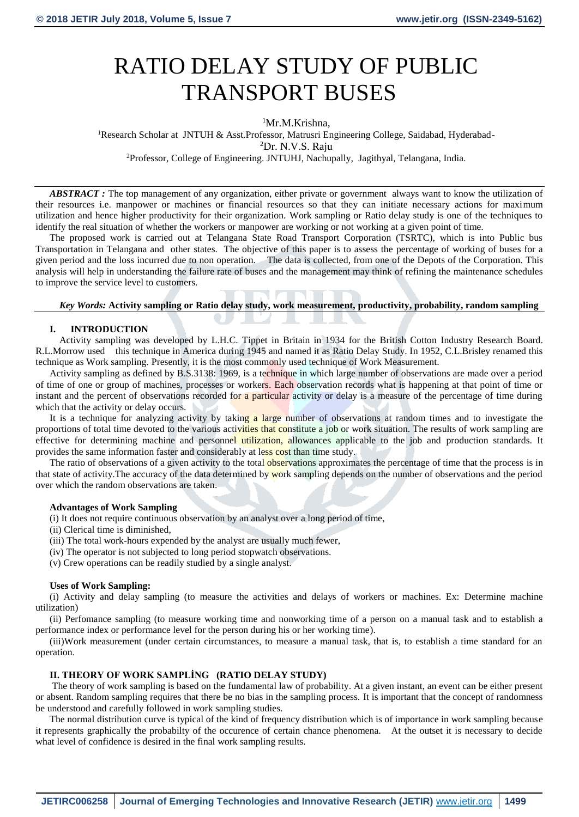# RATIO DELAY STUDY OF PUBLIC TRANSPORT BUSES

# <sup>1</sup>Mr.M.Krishna,

<sup>1</sup>Research Scholar at JNTUH & Asst.Professor, Matrusri Engineering College, Saidabad, Hyderabad-<sup>2</sup>Dr. N.V.S. Raju <sup>2</sup>Professor, College of Engineering. JNTUHJ, Nachupally, Jagithyal, Telangana, India.

*ABSTRACT :* The top management of any organization, either private or government always want to know the utilization of their resources i.e. manpower or machines or financial resources so that they can initiate necessary actions for maximum utilization and hence higher productivity for their organization. Work sampling or Ratio delay study is one of the techniques to identify the real situation of whether the workers or manpower are working or not working at a given point of time.

The proposed work is carried out at Telangana State Road Transport Corporation (TSRTC), which is into Public bus Transportation in Telangana and other states. The objective of this paper is to assess the percentage of working of buses for a given period and the loss incurred due to non operation. The data is collected, from one of the Depots of the Corporation. This analysis will help in understanding the failure rate of buses and the management may think of refining the maintenance schedules to improve the service level to customers.

# *Key Words:* **Activity sampling or Ratio delay study, work measurement, productivity, probability, random sampling**

# **I. INTRODUCTION**

 Activity sampling was developed by L.H.C. Tippet in Britain in 1934 for the British Cotton Industry Research Board. R.L.Morrow used this technique in America during 1945 and named it as Ratio Delay Study. In 1952, C.L.Brisley renamed this technique as Work sampling. Presently, it is the most commonly used technique of Work Measurement.

Activity sampling as defined by B.S.3138: 1969, is a technique in which large number of observations are made over a period of time of one or group of machines, processes or workers. Each observation records what is happening at that point of time or instant and the percent of observations recorded for a particular activity or delay is a measure of the percentage of time during which that the activity or delay occurs.

It is a technique for analyzing activity by taking a large number of observations at random times and to investigate the proportions of total time devoted to the various activities that constitute a job or work situation. The results of work sampling are effective for determining machine and personnel utilization, allowances applicable to the job and production standards. It provides the same information faster and considerably at less cost than time study.

The ratio of observations of a given activity to the total observations approximates the percentage of time that the process is in that state of activity. The accuracy of the data determined by work sampling depends on the number of observations and the period over which the random observations are taken.

#### **Advantages of Work Sampling**

(i) It does not require continuous observation by an analyst over a long period of time,

(ii) Clerical time is diminished,

(iii) The total work-hours expended by the analyst are usually much fewer,

(iv) The operator is not subjected to long period stopwatch observations.

(v) Crew operations can be readily studied by a single analyst.

#### **Uses of Work Sampling:**

(i) Activity and delay sampling (to measure the activities and delays of workers or machines. Ex: Determine machine utilization)

(ii) Perfomance sampling (to measure working time and nonworking time of a person on a manual task and to establish a performance index or performance level for the person during his or her working time).

(iii)Work measurement (under certain circumstances, to measure a manual task, that is, to establish a time standard for an operation.

# **II. THEORY OF WORK SAMPLİNG (RATIO DELAY STUDY)**

The theory of work sampling is based on the fundamental law of probability. At a given instant, an event can be either present or absent. Random sampling requires that there be no bias in the sampling process. It is important that the concept of randomness be understood and carefully followed in work sampling studies.

The normal distribution curve is typical of the kind of frequency distribution which is of importance in work sampling because it represents graphically the probabilty of the occurence of certain chance phenomena. At the outset it is necessary to decide what level of confidence is desired in the final work sampling results.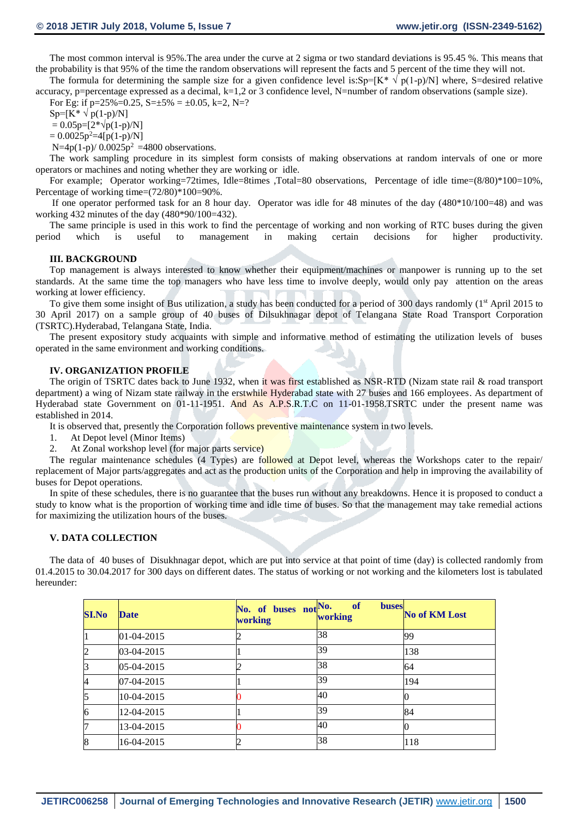The most common interval is 95%.The area under the curve at 2 sigma or two standard deviations is 95.45 %. This means that the probability is that 95% of the time the random observations will represent the facts and 5 percent of the time they will not.

The formula for determining the sample size for a given confidence level is:Sp=[K\*  $\sqrt{p(1-p)/N}$ ] where, S=desired relative accuracy, p=percentage expressed as a decimal,  $k=1,2$  or 3 confidence level, N=number of random observations (sample size).

For Eg: if  $p=25\% = 0.25$ ,  $S=\pm 5\% = \pm 0.05$ ,  $k=2$ ,  $N=$ ?

 $Sp=[K^* \vee p(1-p)/N]$ 

 $= 0.05p=[2*\sqrt{p(1-p)/N}]$ 

 $= 0.0025p^2=4[p(1-p)/N]$ 

N=4p(1-p)/ $0.0025p^2$  =4800 observations.

The work sampling procedure in its simplest form consists of making observations at random intervals of one or more operators or machines and noting whether they are working or idle.

For example; Operator working=72times, Idle=8times ,Total=80 observations, Percentage of idle time=(8/80)\*100=10%, Percentage of working time= $(72/80)*100=90\%$ .

If one operator performed task for an 8 hour day. Operator was idle for 48 minutes of the day (480\*10/100=48) and was working 432 minutes of the day (480\*90/100=432).

The same principle is used in this work to find the percentage of working and non working of RTC buses during the given period which is useful to management in making certain decisions for higher productivity.

#### **III. BACKGROUND**

Top management is always interested to know whether their equipment/machines or manpower is running up to the set standards. At the same time the top managers who have less time to involve deeply, would only pay attention on the areas working at lower efficiency.

To give them some insight of Bus utilization, a study has been conducted for a period of 300 days randomly (1<sup>st</sup> April 2015 to 30 April 2017) on a sample group of 40 buses of Dilsukhnagar depot of Telangana State Road Transport Corporation (TSRTC).Hyderabad, Telangana State, India.

The present expository study acquaints with simple and informative method of estimating the utilization levels of buses operated in the same environment and working conditions.

#### **IV. ORGANIZATION PROFILE**

The origin of TSRTC dates back to June 1932, when it was first established as NSR-RTD (Nizam state rail & road transport department) a wing of Nizam state railway in the erstwhile Hyderabad state with 27 buses and 166 employees. As department of Hyderabad state Government on 01-11-1951. And As A.P.S.R.T.C on 11-01-1958.TSRTC under the present name was established in 2014.

It is observed that, presently the Corporation follows preventive maintenance system in two levels.

- 1. At Depot level (Minor Items)
- 2. At Zonal workshop level (for major parts service)

The regular maintenance schedules (4 Types) are followed at Depot level, whereas the Workshops cater to the repair/ replacement of Major parts/aggregates and act as the production units of the Corporation and help in improving the availability of buses for Depot operations.

In spite of these schedules, there is no guarantee that the buses run without any breakdowns. Hence it is proposed to conduct a study to know what is the proportion of working time and idle time of buses. So that the management may take remedial actions for maximizing the utilization hours of the buses.

#### **V. DATA COLLECTION**

The data of 40 buses of Disukhnagar depot, which are put into service at that point of time (day) is collected randomly from 01.4.2015 to 30.04.2017 for 300 days on different dates. The status of working or not working and the kilometers lost is tabulated hereunder:

| <b>SI.No</b> | <b>Date</b> | No. of buses not No.<br><b>working</b> | <b>of</b><br><b>buses</b><br>working | <b>No of KM Lost</b> |
|--------------|-------------|----------------------------------------|--------------------------------------|----------------------|
|              | 01-04-2015  |                                        | 38                                   | 99                   |
|              | 03-04-2015  |                                        | 39                                   | 138                  |
|              | 05-04-2015  |                                        | 38                                   | 64                   |
|              | 07-04-2015  |                                        | 39                                   | 194                  |
|              | 10-04-2015  |                                        | 40                                   |                      |
| h            | 12-04-2015  |                                        | 39                                   | 84                   |
|              | 13-04-2015  |                                        | 40                                   |                      |
| 18           | 16-04-2015  |                                        | 38                                   | 118                  |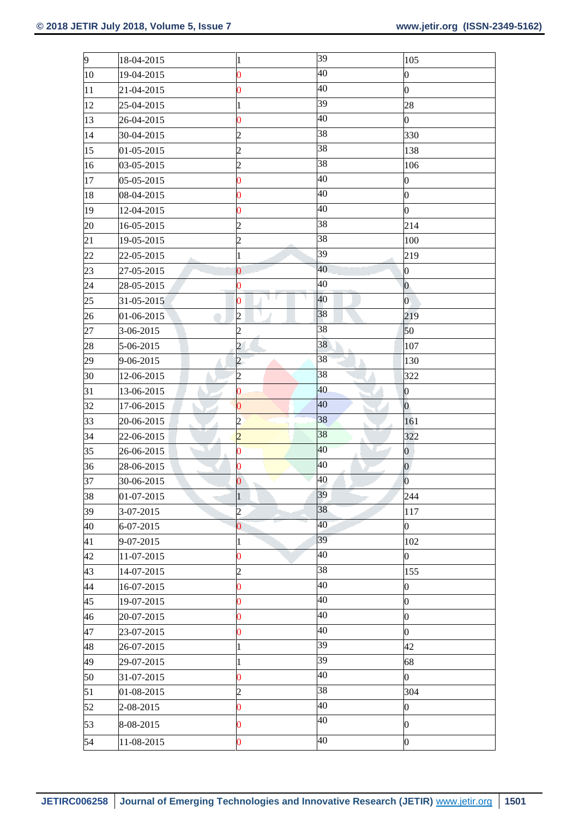| 9  | 18-04-2015 | $\mathbf{1}$            | 39 | 105              |
|----|------------|-------------------------|----|------------------|
| 10 | 19-04-2015 | $\overline{0}$          | 40 | $\boldsymbol{0}$ |
| 11 | 21-04-2015 | $\bf{0}$                | 40 | $\boldsymbol{0}$ |
| 12 | 25-04-2015 | $\mathbf{1}$            | 39 | 28               |
| 13 | 26-04-2015 | $\overline{\mathbf{0}}$ | 40 | $\overline{0}$   |
| 14 | 30-04-2015 | $\overline{c}$          | 38 | 330              |
| 15 | 01-05-2015 | $\overline{c}$          | 38 | 138              |
| 16 | 03-05-2015 | $\overline{c}$          | 38 | 106              |
| 17 | 05-05-2015 | $\overline{\mathbf{0}}$ | 40 | $\boldsymbol{0}$ |
| 18 | 08-04-2015 | $\bf{0}$                | 40 | 0                |
| 19 | 12-04-2015 | $\bf{0}$                | 40 | $\overline{0}$   |
| 20 | 16-05-2015 | $\overline{c}$          | 38 | 214              |
| 21 | 19-05-2015 | $\overline{c}$          | 38 | 100              |
| 22 | 22-05-2015 | $\mathbf{1}$            | 39 | 219              |
| 23 | 27-05-2015 | $\overline{0}$          | 40 | 0                |
| 24 | 28-05-2015 | $\bf{0}$                | 40 | $\boldsymbol{0}$ |
| 25 | 31-05-2015 | $\bf{0}$                | 40 | $\overline{0}$   |
| 26 | 01-06-2015 | $\overline{c}$          | 38 | 219              |
| 27 | 3-06-2015  | $\overline{c}$          | 38 | 50               |
| 28 | 5-06-2015  | $\overline{c}$          | 38 | 107              |
| 29 | 9-06-2015  | $\overline{c}$          | 38 | 130              |
| 30 | 12-06-2015 | $\overline{c}$          | 38 | 322              |
| 31 | 13-06-2015 | $\bf{0}$                | 40 | 0                |
| 32 | 17-06-2015 | $\bf{0}$                | 40 | $\boldsymbol{0}$ |
| 33 | 20-06-2015 | $\overline{c}$          | 38 | 161              |
| 34 | 22-06-2015 | $\overline{c}$          | 38 | 322              |
| 35 | 26-06-2015 | $\bf{0}$                | 40 | $\boldsymbol{0}$ |
| 36 | 28-06-2015 | $\bf{0}$                | 40 | $\boldsymbol{0}$ |
| 37 | 30-06-2015 | $\overline{0}$          | 40 | $\vert 0 \vert$  |
| 38 | 01-07-2015 | $\mathbf{1}$            | 39 | 244              |
| 39 | 3-07-2015  | $\overline{c}$          | 38 | 117              |
| 40 | 6-07-2015  | $\overline{\mathbf{0}}$ | 40 | $\mathbf{0}$     |
| 41 | 9-07-2015  | $\mathbf{1}$            | 39 | 102              |
| 42 | 11-07-2015 | $\bf{0}$                | 40 | $\boldsymbol{0}$ |
| 43 | 14-07-2015 | $\overline{c}$          | 38 | 155              |
| 44 | 16-07-2015 | $\bf{0}$                | 40 | $\boldsymbol{0}$ |
| 45 |            |                         |    |                  |
| 46 | 19-07-2015 | 0                       | 40 | 0                |
|    | 20-07-2015 | $\bf{0}$                | 40 | $\boldsymbol{0}$ |
| 47 | 23-07-2015 | $\overline{\mathbf{0}}$ | 40 | $\mathbf{0}$     |
| 48 | 26-07-2015 | $\mathbf{1}$            | 39 | 42               |
| 49 | 29-07-2015 | 1                       | 39 | 68               |
| 50 | 31-07-2015 | $\bf{0}$                | 40 | $\overline{0}$   |
| 51 | 01-08-2015 | $\overline{c}$          | 38 | 304              |
| 52 | 2-08-2015  | 0                       | 40 | 0                |
| 53 | 8-08-2015  | 0                       | 40 | $\boldsymbol{0}$ |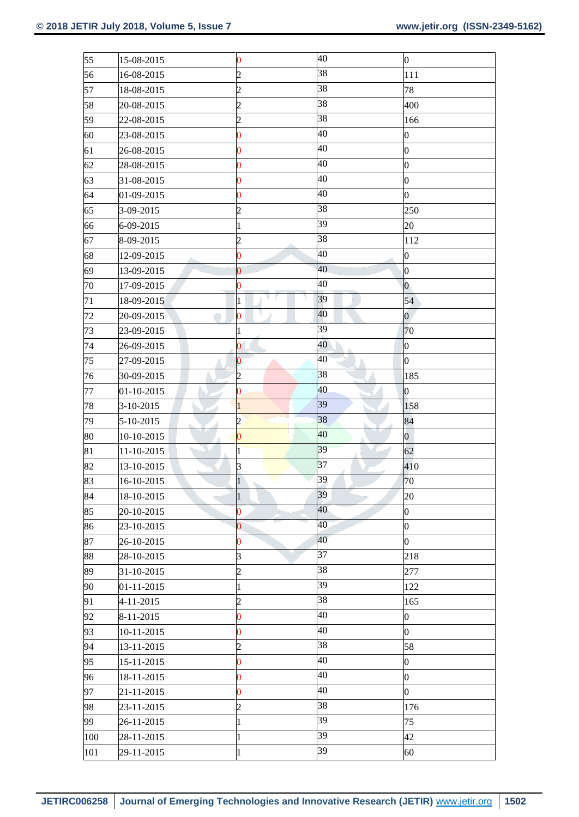| 55  | 15-08-2015  | $\boldsymbol{0}$        | 40 | $\boldsymbol{0}$ |
|-----|-------------|-------------------------|----|------------------|
| 56  | 16-08-2015  | $\overline{c}$          | 38 | 111              |
| 57  | 18-08-2015  | $\overline{c}$          | 38 | 78               |
| 58  | 20-08-2015  | $\overline{c}$          | 38 | 400              |
| 59  | 22-08-2015  | 2                       | 38 | 166              |
| 60  | 23-08-2015  | $\bf{0}$                | 40 | $\boldsymbol{0}$ |
| 61  | 26-08-2015  | 0                       | 40 | $\overline{0}$   |
| 62  | 28-08-2015  | $\bf{0}$                | 40 | $\boldsymbol{0}$ |
| 63  | 31-08-2015  | $\overline{\mathbf{0}}$ | 40 | $\boldsymbol{0}$ |
| 64  | 01-09-2015  | 0                       | 40 | $\overline{0}$   |
| 65  | 3-09-2015   | $\overline{c}$          | 38 | 250              |
| 66  | 6-09-2015   | $\mathbf{1}$            | 39 | 20               |
| 67  | 8-09-2015   | $\overline{c}$          | 38 | 112              |
| 68  | 12-09-2015  | $\bf{0}$                | 40 | $\overline{0}$   |
| 69  | 13-09-2015  | $\bf{0}$                | 40 | 0                |
| 70  | 17-09-2015  | $\bf{0}$                | 40 | $\mathbf{0}$     |
| 71  | 18-09-2015  | $\mathbf{1}$            | 39 | 54               |
| 72  | 20-09-2015  | $\overline{\mathbf{0}}$ | 40 | $\overline{0}$   |
| 73  | 23-09-2015  | $\mathbf{1}$            | 39 | 70               |
| 74  | 26-09-2015  | $\bf{0}$                | 40 | $\boldsymbol{0}$ |
| 75  | 27-09-2015  | 0                       | 40 | $\overline{0}$   |
| 76  | 30-09-2015  | 2                       | 38 | 185              |
| 77  | 01-10-2015  | $\bf{0}$                | 40 | $\bf{0}$         |
| 78  | $3-10-2015$ | $\mathbf{1}$            | 39 | 158              |
| 79  | 5-10-2015   | $\overline{c}$          | 38 | 84               |
| 80  | 10-10-2015  | $\bf{0}$                | 40 | $\overline{0}$   |
| 81  | 11-10-2015  | $\mathbf{1}$            | 39 | 62               |
| 82  | 13-10-2015  | 3                       | 37 | 410              |
| 83  | 16-10-2015  | $\mathbf{1}$            | 39 | 70               |
| 84  | 18-10-2015  | $\mathbf{1}$            | 39 | 20               |
| 85  | 20-10-2015  | $\overline{\mathbf{0}}$ | 40 | $\overline{0}$   |
| 86  | 23-10-2015  | $\overline{\mathbf{0}}$ | 40 | $\mathbf{0}$     |
| 87  | 26-10-2015  | $\overline{0}$          | 40 | $\overline{0}$   |
| 88  | 28-10-2015  | 3                       | 37 | 218              |
| 89  | 31-10-2015  | $\overline{c}$          | 38 | 277              |
| 90  | 01-11-2015  | $\mathbf{1}$            | 39 | 122              |
| 91  | 4-11-2015   | $\overline{c}$          | 38 | 165              |
| 92  | 8-11-2015   | $\bf{0}$                | 40 | $\boldsymbol{0}$ |
| 93  | 10-11-2015  | $\bf{0}$                | 40 | $\overline{0}$   |
| 94  | 13-11-2015  | 2                       | 38 | 58               |
| 95  | 15-11-2015  | 0                       | 40 | $\boldsymbol{0}$ |
| 96  | 18-11-2015  | $\overline{0}$          | 40 | $\boldsymbol{0}$ |
| 97  | 21-11-2015  | $\overline{\mathbf{0}}$ | 40 | $\overline{0}$   |
| 98  | 23-11-2015  | $\overline{c}$          | 38 | 176              |
| 99  | 26-11-2015  | $\mathbf{1}$            | 39 | 75               |
| 100 | 28-11-2015  | $\mathbf{1}$            | 39 | 42               |
| 101 | 29-11-2015  | $\mathbf{1}$            | 39 | 60               |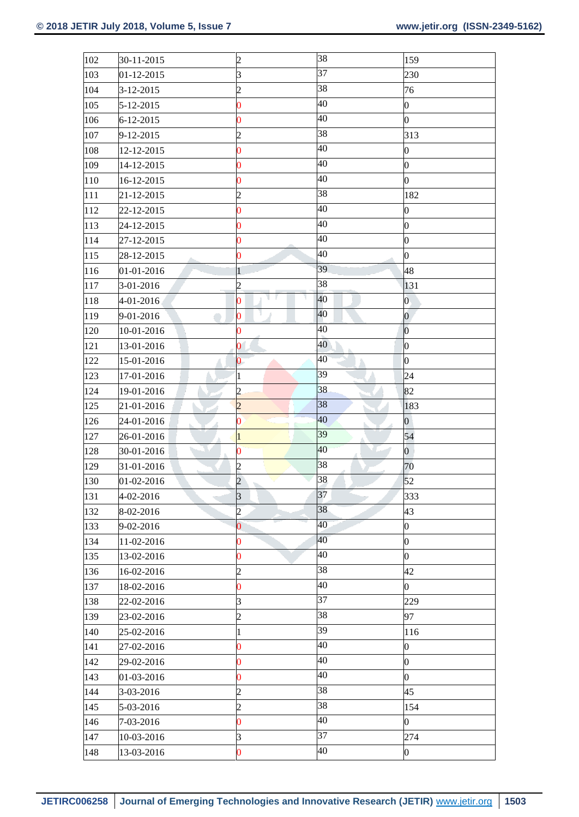| 102 | 30-11-2015      | $\overline{c}$          | 38             | 159              |
|-----|-----------------|-------------------------|----------------|------------------|
| 103 | 01-12-2015      | $\overline{\mathbf{3}}$ | 37             | 230              |
| 104 | 3-12-2015       | $\overline{2}$          | 38             | 76               |
| 105 | 5-12-2015       | $\overline{0}$          | 40             | $\boldsymbol{0}$ |
| 106 | $6 - 12 - 2015$ | $\pmb{0}$               | 40             | 0                |
| 107 | 9-12-2015       | $\overline{c}$          | 38             | 313              |
| 108 | 12-12-2015      | $\overline{0}$          | 40             | $\boldsymbol{0}$ |
| 109 | 14-12-2015      | 0                       | 40             | $\boldsymbol{0}$ |
| 110 | 16-12-2015      | $\overline{0}$          | 40             | $\overline{0}$   |
| 111 | 21-12-2015      | $\overline{c}$          | 38             | 182              |
| 112 | 22-12-2015      | $\overline{0}$          | 40             | 0                |
| 113 | 24-12-2015      | 0                       | 40             | $\boldsymbol{0}$ |
| 114 | 27-12-2015      | $\overline{0}$          | 40             | $\boldsymbol{0}$ |
| 115 | 28-12-2015      | $\bf{0}$                | 40             | $\boldsymbol{0}$ |
| 116 | 01-01-2016      | 1                       | 39             | 48               |
| 117 | 3-01-2016       | $\overline{\mathbf{c}}$ | 38             | 131              |
| 118 | 4-01-2016       | г<br>٦<br>٦<br>0        | 40             | $\boldsymbol{0}$ |
| 119 | 9-01-2016       | 0                       | 40             | $\boldsymbol{0}$ |
| 120 | 10-01-2016      | $\pmb{0}$               | 40             | $\vert 0 \vert$  |
| 121 | 13-01-2016      | 0                       | 40             | $\vert 0 \vert$  |
| 122 | 15-01-2016      | 0                       | 40             | $\boldsymbol{0}$ |
| 123 | 17-01-2016      | $\mathbf{1}$            | 39             | 24               |
| 124 | 19-01-2016      | $\overline{c}$          | 38             | 82               |
| 125 | 21-01-2016      | $\overline{c}$          | 38             | 183              |
| 126 | 24-01-2016      | 0                       | 40             | $\boldsymbol{0}$ |
| 127 | 26-01-2016      | $\mathbf{1}$            | 39             | 54               |
| 128 | 30-01-2016      | 0                       | 40<br>$\Delta$ | $\overline{0}$   |
| 129 | 31-01-2016      | $\overline{c}$          | 38             | 70               |
| 130 | 01-02-2016      | $\overline{c}$          | 38             | 52               |
| 131 | 4-02-2016       | $\mathbf{3}$            | 37             | 333              |
| 132 | 8-02-2016       | $\overline{2}$          | 38             | 43               |
| 133 | 9-02-2016       | $\overline{0}$          | 40             | $\boldsymbol{0}$ |
| 134 | 11-02-2016      | $\bf{0}$                | 40             | $\overline{0}$   |
| 135 | 13-02-2016      | $\pmb{0}$               | 40             | $\boldsymbol{0}$ |
| 136 | 16-02-2016      | $\overline{c}$          | 38             | 42               |
| 137 | 18-02-2016      | 0                       | 40             | $\overline{0}$   |
| 138 | 22-02-2016      | $\overline{\mathbf{3}}$ | 37             | 229              |
| 139 | 23-02-2016      | $\overline{c}$          | 38             | 97               |
| 140 | 25-02-2016      | 1                       | 39             | 116              |
| 141 | 27-02-2016      | $\overline{0}$          | 40             | $\boldsymbol{0}$ |
| 142 | 29-02-2016      | $\overline{0}$          | 40             | $\boldsymbol{0}$ |
| 143 | 01-03-2016      | $\pmb{0}$               | 40             | $\boldsymbol{0}$ |
| 144 | 3-03-2016       | $\overline{c}$          | 38             | 45               |
| 145 | 5-03-2016       | $\overline{c}$          | 38             | 154              |
| 146 | 7-03-2016       | $\pmb{0}$               | 40             | $\boldsymbol{0}$ |
| 147 | 10-03-2016      | 3                       | 37             | 274              |
| 148 | 13-03-2016      | $\overline{\mathbf{0}}$ | 40             | $\boldsymbol{0}$ |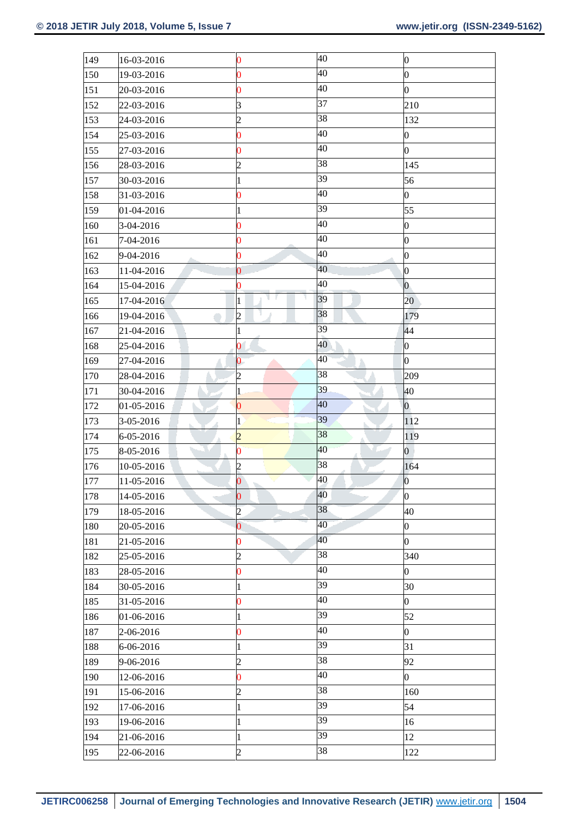| 149 | 16-03-2016 | 0              | 40 | $\boldsymbol{0}$ |
|-----|------------|----------------|----|------------------|
| 150 | 19-03-2016 | $\overline{0}$ | 40 | $\boldsymbol{0}$ |
| 151 | 20-03-2016 | $\pmb{0}$      | 40 | $\boldsymbol{0}$ |
| 152 | 22-03-2016 | 3              | 37 | 210              |
| 153 | 24-03-2016 | $\overline{c}$ | 38 | 132              |
| 154 | 25-03-2016 | $\bf{0}$       | 40 | $\boldsymbol{0}$ |
| 155 | 27-03-2016 | 0              | 40 | $\overline{0}$   |
| 156 | 28-03-2016 | $\overline{c}$ | 38 | 145              |
| 157 | 30-03-2016 | $\mathbf{1}$   | 39 | 56               |
| 158 | 31-03-2016 | 0              | 40 | $\boldsymbol{0}$ |
| 159 | 01-04-2016 | $\mathbf{1}$   | 39 | 55               |
| 160 | 3-04-2016  | $\bf{0}$       | 40 | $\boldsymbol{0}$ |
| 161 | 7-04-2016  | 0              | 40 | $\boldsymbol{0}$ |
| 162 | 9-04-2016  | $\overline{0}$ | 40 | $\overline{0}$   |
| 163 | 11-04-2016 | $\overline{0}$ | 40 | $\overline{0}$   |
| 164 | 15-04-2016 | 0              | 40 | $\overline{0}$   |
| 165 | 17-04-2016 | 1              | 39 | 20               |
| 166 | 19-04-2016 | $\overline{c}$ | 38 | 179              |
| 167 | 21-04-2016 | $\mathbf{1}$   | 39 | 44               |
| 168 | 25-04-2016 | $\overline{0}$ | 40 | $\boldsymbol{0}$ |
| 169 | 27-04-2016 | $\bf{0}$       | 40 | $\overline{0}$   |
| 170 | 28-04-2016 | $\overline{c}$ | 38 | 209              |
| 171 | 30-04-2016 | $\mathbf{1}$   | 39 | 40               |
| 172 | 01-05-2016 | $\overline{0}$ | 40 | $\mathbf{0}$     |
| 173 | 3-05-2016  | $\mathbf 1$    | 39 | 112              |
| 174 | 6-05-2016  | $\overline{c}$ | 38 | 119              |
| 175 | 8-05-2016  | 0              | 40 | $\overline{0}$   |
| 176 | 10-05-2016 | $\overline{c}$ | 38 | 164              |
| 177 | 11-05-2016 | $\overline{0}$ | 40 | $\vert 0 \vert$  |
| 178 | 14-05-2016 | $\bf{0}$       | 40 | $\boldsymbol{0}$ |
| 179 | 18-05-2016 | $\overline{c}$ | 38 | 40               |
| 180 | 20-05-2016 | $\overline{0}$ | 40 | $\boldsymbol{0}$ |
| 181 | 21-05-2016 | $\overline{0}$ | 40 | $\overline{0}$   |
| 182 | 25-05-2016 | $\overline{c}$ | 38 | 340              |
| 183 | 28-05-2016 | $\overline{0}$ | 40 | $\boldsymbol{0}$ |
| 184 | 30-05-2016 | $\mathbf{1}$   | 39 | 30               |
| 185 | 31-05-2016 | $\pmb{0}$      | 40 | $\overline{0}$   |
| 186 | 01-06-2016 | $\mathbf{1}$   | 39 | 52               |
| 187 | 2-06-2016  | 0              | 40 | $\overline{0}$   |
| 188 | 6-06-2016  | $\mathbf{1}$   | 39 | 31               |
| 189 | 9-06-2016  | $\overline{c}$ | 38 | 92               |
| 190 | 12-06-2016 | $\overline{0}$ | 40 | $\boldsymbol{0}$ |
| 191 | 15-06-2016 | $\overline{c}$ | 38 | 160              |
| 192 | 17-06-2016 | $\mathbf{1}$   | 39 | 54               |
| 193 | 19-06-2016 | $\mathbf{1}$   | 39 | 16               |
| 194 | 21-06-2016 | $\mathbf{1}$   | 39 | 12               |
| 195 | 22-06-2016 | $\overline{c}$ | 38 | 122              |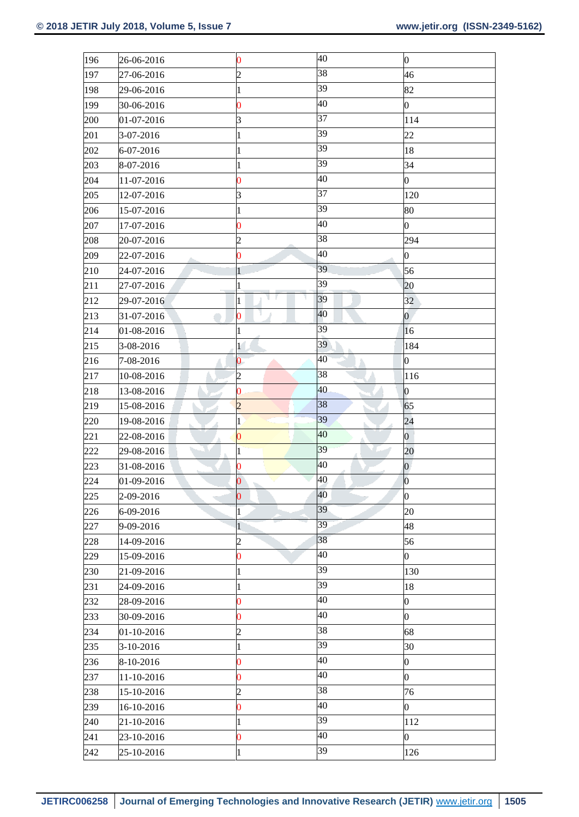| 196 | 26-06-2016 | $\bf{0}$                | 40                  | $\vert 0 \vert$  |
|-----|------------|-------------------------|---------------------|------------------|
| 197 | 27-06-2016 | $\overline{c}$          | 38                  | 46               |
| 198 | 29-06-2016 | 1                       | 39                  | 82               |
| 199 | 30-06-2016 | $\overline{\mathbf{0}}$ | 40                  | $\overline{0}$   |
| 200 | 01-07-2016 | 3                       | 37                  | 114              |
| 201 | 3-07-2016  | $\mathbf{1}$            | 39                  | 22               |
| 202 | 6-07-2016  | $\mathbf{1}$            | 39                  | 18               |
| 203 | 8-07-2016  | 1                       | 39                  | 34               |
| 204 | 11-07-2016 | $\overline{\mathbf{0}}$ | 40                  | $\boldsymbol{0}$ |
| 205 | 12-07-2016 | 3                       | 37                  | 120              |
| 206 | 15-07-2016 | $\mathbf{1}$            | 39                  | 80               |
| 207 | 17-07-2016 | $\boldsymbol{0}$        | 40                  | $\overline{0}$   |
| 208 | 20-07-2016 | $\overline{c}$          | 38                  | 294              |
| 209 | 22-07-2016 | $\overline{\mathbf{0}}$ | 40                  | $\boldsymbol{0}$ |
| 210 | 24-07-2016 | 1                       | 39                  | 56               |
| 211 | 27-07-2016 | 1                       | 39                  | 20               |
| 212 | 29-07-2016 | ٦<br>y<br>٦<br>1        | 39                  | 32               |
| 213 | 31-07-2016 | $\boldsymbol{0}$        | 40                  | $\overline{0}$   |
| 214 | 01-08-2016 | $\mathbf{1}$            | 39                  | $ 16\rangle$     |
| 215 | 3-08-2016  | 1                       | 39                  | 184              |
| 216 | 7-08-2016  | 0                       | 40                  | $\boldsymbol{0}$ |
| 217 | 10-08-2016 | $\overline{c}$          | 38                  | 116              |
| 218 | 13-08-2016 | $\bf{0}$                | 40                  | $\vert 0 \vert$  |
| 219 | 15-08-2016 | $\overline{2}$          | 38                  | 65               |
| 220 | 19-08-2016 | 1                       | 39                  | 24               |
| 221 | 22-08-2016 | $\bf{0}$                | 40                  | $\overline{0}$   |
| 222 | 29-08-2016 | 1                       | 39<br>$\mathcal{N}$ | 20               |
| 223 | 31-08-2016 | $\bf{0}$                | 40                  | $\boldsymbol{0}$ |
| 224 | 01-09-2016 | $\overline{0}$          | 40                  | $ 0\rangle$      |
| 225 | 2-09-2016  | $\bf{0}$                | 40                  | $\vert 0 \vert$  |
| 226 | 6-09-2016  | $\mathbf{1}$            | 39                  | 20               |
| 227 | 9-09-2016  | $\mathbf{1}$            | 39                  | 48               |
| 228 | 14-09-2016 | 2                       | 38                  | 56               |
| 229 | 15-09-2016 | $\bf{0}$                | 40                  | $\overline{0}$   |
| 230 | 21-09-2016 | $\mathbf{1}$            | 39                  | 130              |
| 231 | 24-09-2016 | 1                       | 39                  | 18               |
| 232 | 28-09-2016 | $\bf{0}$                | 40                  | $\boldsymbol{0}$ |
| 233 | 30-09-2016 | $\overline{0}$          | 40                  | $\overline{0}$   |
| 234 | 01-10-2016 | 2                       | 38                  | 68               |
| 235 | 3-10-2016  | $\mathbf{1}$            | 39                  | 30               |
| 236 | 8-10-2016  | $\bf{0}$                | 40                  | $\bf{0}$         |
| 237 | 11-10-2016 | $\bf{0}$                | 40                  | $\boldsymbol{0}$ |
| 238 | 15-10-2016 | $\overline{c}$          | 38                  | 76               |
| 239 | 16-10-2016 | $\bf{0}$                | 40                  | $\boldsymbol{0}$ |
| 240 | 21-10-2016 | 1                       | 39                  | 112              |
| 241 | 23-10-2016 | $\bf{0}$                | 40                  | $\overline{0}$   |
| 242 | 25-10-2016 | $\mathbf{1}$            | 39                  | 126              |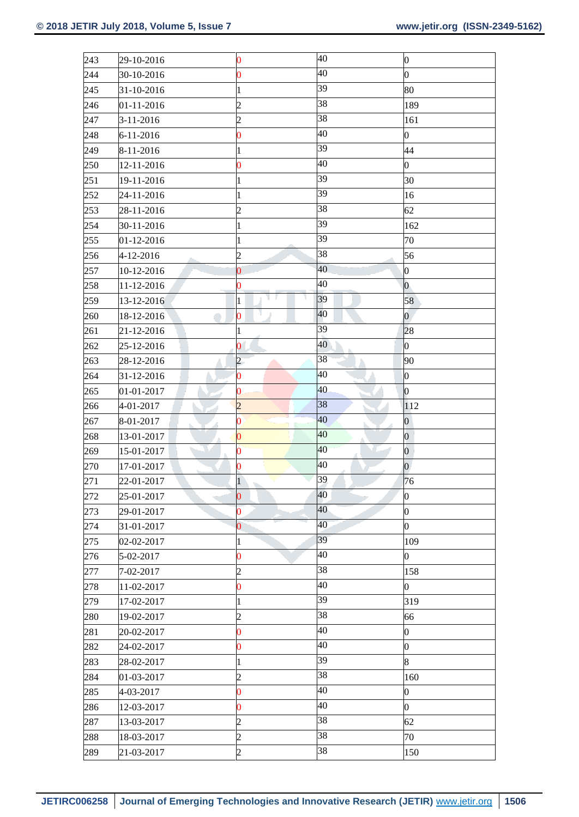| 243 | 29-10-2016      | $\bf{0}$               | 40                         | $\vert 0 \vert$  |
|-----|-----------------|------------------------|----------------------------|------------------|
| 244 | 30-10-2016      | $\overline{0}$         | 40                         | $\mathbf{0}$     |
| 245 | 31-10-2016      | $\mathbf{1}$           | 39                         | 80               |
| 246 | 01-11-2016      | $\overline{c}$         | 38                         | 189              |
| 247 | $3 - 11 - 2016$ | $\overline{c}$         | 38                         | 161              |
| 248 | 6-11-2016       | $\bf{0}$               | 40                         | $\boldsymbol{0}$ |
| 249 | 8-11-2016       | $\mathbf{1}$           | 39                         | 44               |
| 250 | 12-11-2016      | 0                      | 40                         | 0                |
| 251 | 19-11-2016      | $\mathbf{1}$           | 39                         | 30               |
| 252 | 24-11-2016      | $\mathbf{1}$           | 39                         | 16               |
| 253 | 28-11-2016      | $\overline{c}$         | 38                         | 62               |
| 254 | 30-11-2016      | $\mathbf{1}$           | 39                         | 162              |
| 255 | 01-12-2016      | $\mathbf{1}$           | 39                         | 70               |
| 256 | 4-12-2016       | $\overline{c}$         | 38                         | 56               |
| 257 | 10-12-2016      | $\pmb{0}$              | 40                         | 0                |
| 258 | 11-12-2016      | $\overline{0}$         | 40                         | $ 0\rangle$      |
| 259 | 13-12-2016      | v<br>٦<br>$\mathbf{1}$ | 39                         | 58               |
| 260 | 18-12-2016      | 0                      | 40                         | $\overline{0}$   |
| 261 | 21-12-2016      | $\mathbf{1}$           | 39                         | 28               |
| 262 | 25-12-2016      | $\pmb{0}$              | 40                         | $\vert 0 \vert$  |
| 263 | 28-12-2016      | $\overline{c}$         | 38                         | 90               |
| 264 | 31-12-2016      | $\pmb{0}$              | 40                         | $\vert 0 \vert$  |
| 265 | 01-01-2017      | $\pmb{0}$              | 40                         | $\vert 0 \vert$  |
| 266 | 4-01-2017       | $\overline{c}$         | 38                         | 112              |
| 267 | 8-01-2017       | 0                      | 40                         | $\boldsymbol{0}$ |
| 268 | 13-01-2017      | $\overline{0}$         | 40                         | $\overline{0}$   |
| 269 | 15-01-2017      | 0                      | 40<br><b>INTERNATIONAL</b> | $\mathbf 0$      |
| 270 | 17-01-2017      | $\overline{0}$         | 40                         | $\overline{0}$   |
| 271 | 22-01-2017      | $\mathbf{1}$           | 39                         | 76               |
| 272 | 25-01-2017      | $\bf{0}$               | 40                         | $\boldsymbol{0}$ |
| 273 | 29-01-2017      | $\bf{0}$               | 40                         | $\boldsymbol{0}$ |
| 274 | 31-01-2017      | $\overline{0}$         | 40                         | $\boldsymbol{0}$ |
| 275 | 02-02-2017      | 1                      | 39                         | 109              |
| 276 | 5-02-2017       | $\pmb{0}$              | 40                         | $\boldsymbol{0}$ |
| 277 | 7-02-2017       | $\overline{c}$         | 38                         | 158              |
| 278 | 11-02-2017      | 0                      | 40                         | $\boldsymbol{0}$ |
| 279 | 17-02-2017      | $\mathbf{1}$           | 39                         | 319              |
| 280 | 19-02-2017      | $\overline{c}$         | 38                         | 66               |
| 281 | 20-02-2017      | 0                      | 40                         | $\boldsymbol{0}$ |
| 282 | 24-02-2017      | $\overline{0}$         | 40                         | $\boldsymbol{0}$ |
| 283 | 28-02-2017      | $\mathbf{1}$           | 39                         | $\overline{8}$   |
| 284 | 01-03-2017      | $\overline{c}$         | 38                         | 160              |
| 285 | 4-03-2017       | $\overline{0}$         | 40                         | $\mathbf{0}$     |
| 286 | 12-03-2017      | $\pmb{0}$              | 40                         | $\mathbf{0}$     |
| 287 | 13-03-2017      | $\overline{c}$         | 38                         | 62               |
| 288 | 18-03-2017      | $\overline{c}$         | 38                         | 70               |
| 289 | 21-03-2017      | $\overline{c}$         | 38                         | 150              |